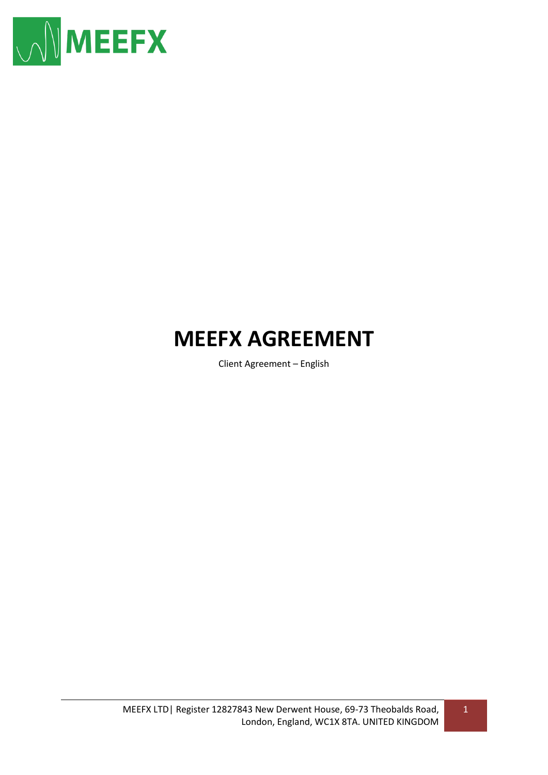

# **MEEFX AGREEMENT**

Client Agreement – English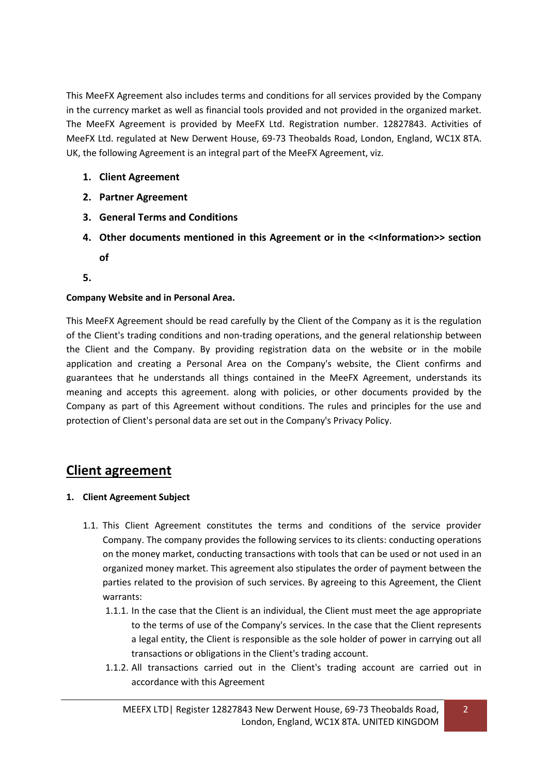This MeeFX Agreement also includes terms and conditions for all services provided by the Company in the currency market as well as financial tools provided and not provided in the organized market. The MeeFX Agreement is provided by MeeFX Ltd. Registration number. 12827843. Activities of MeeFX Ltd. regulated at New Derwent House, 69-73 Theobalds Road, London, England, WC1X 8TA. UK, the following Agreement is an integral part of the MeeFX Agreement, viz.

- **1. Client Agreement**
- **2. Partner Agreement**
- **3. General Terms and Conditions**
- **4. Other documents mentioned in this Agreement or in the <<Information>> section of**
- **5.**

## **Company Website and in Personal Area.**

This MeeFX Agreement should be read carefully by the Client of the Company as it is the regulation of the Client's trading conditions and non-trading operations, and the general relationship between the Client and the Company. By providing registration data on the website or in the mobile application and creating a Personal Area on the Company's website, the Client confirms and guarantees that he understands all things contained in the MeeFX Agreement, understands its meaning and accepts this agreement. along with policies, or other documents provided by the Company as part of this Agreement without conditions. The rules and principles for the use and protection of Client's personal data are set out in the Company's Privacy Policy.

## **Client agreement**

#### **1. Client Agreement Subject**

- 1.1. This Client Agreement constitutes the terms and conditions of the service provider Company. The company provides the following services to its clients: conducting operations on the money market, conducting transactions with tools that can be used or not used in an organized money market. This agreement also stipulates the order of payment between the parties related to the provision of such services. By agreeing to this Agreement, the Client warrants:
	- 1.1.1. In the case that the Client is an individual, the Client must meet the age appropriate to the terms of use of the Company's services. In the case that the Client represents a legal entity, the Client is responsible as the sole holder of power in carrying out all transactions or obligations in the Client's trading account.
	- 1.1.2. All transactions carried out in the Client's trading account are carried out in accordance with this Agreement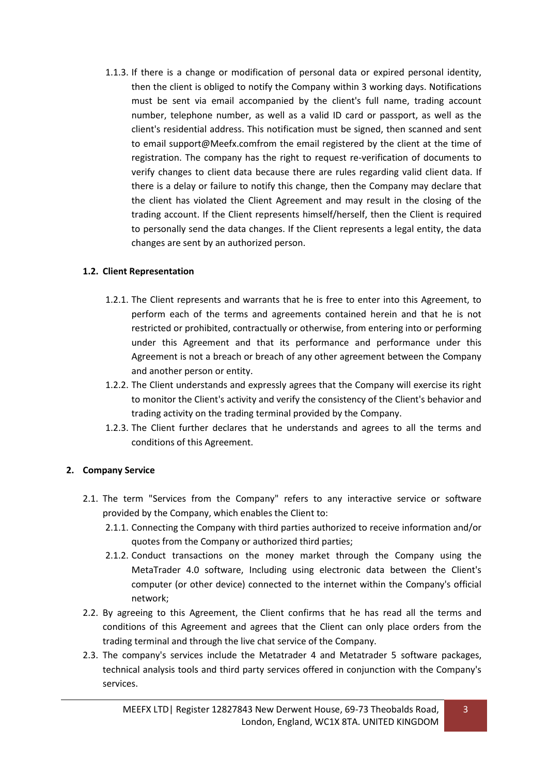1.1.3. If there is a change or modification of personal data or expired personal identity, then the client is obliged to notify the Company within 3 working days. Notifications must be sent via email accompanied by the client's full name, trading account number, telephone number, as well as a valid ID card or passport, as well as the client's residential address. This notification must be signed, then scanned and sent to email support@Meefx.comfrom the email registered by the client at the time of registration. The company has the right to request re-verification of documents to verify changes to client data because there are rules regarding valid client data. If there is a delay or failure to notify this change, then the Company may declare that the client has violated the Client Agreement and may result in the closing of the trading account. If the Client represents himself/herself, then the Client is required to personally send the data changes. If the Client represents a legal entity, the data changes are sent by an authorized person.

## **1.2. Client Representation**

- 1.2.1. The Client represents and warrants that he is free to enter into this Agreement, to perform each of the terms and agreements contained herein and that he is not restricted or prohibited, contractually or otherwise, from entering into or performing under this Agreement and that its performance and performance under this Agreement is not a breach or breach of any other agreement between the Company and another person or entity.
- 1.2.2. The Client understands and expressly agrees that the Company will exercise its right to monitor the Client's activity and verify the consistency of the Client's behavior and trading activity on the trading terminal provided by the Company.
- 1.2.3. The Client further declares that he understands and agrees to all the terms and conditions of this Agreement.

## **2. Company Service**

- 2.1. The term "Services from the Company" refers to any interactive service or software provided by the Company, which enables the Client to:
	- 2.1.1. Connecting the Company with third parties authorized to receive information and/or quotes from the Company or authorized third parties;
	- 2.1.2. Conduct transactions on the money market through the Company using the MetaTrader 4.0 software, Including using electronic data between the Client's computer (or other device) connected to the internet within the Company's official network;
- 2.2. By agreeing to this Agreement, the Client confirms that he has read all the terms and conditions of this Agreement and agrees that the Client can only place orders from the trading terminal and through the live chat service of the Company.
- 2.3. The company's services include the Metatrader 4 and Metatrader 5 software packages, technical analysis tools and third party services offered in conjunction with the Company's services.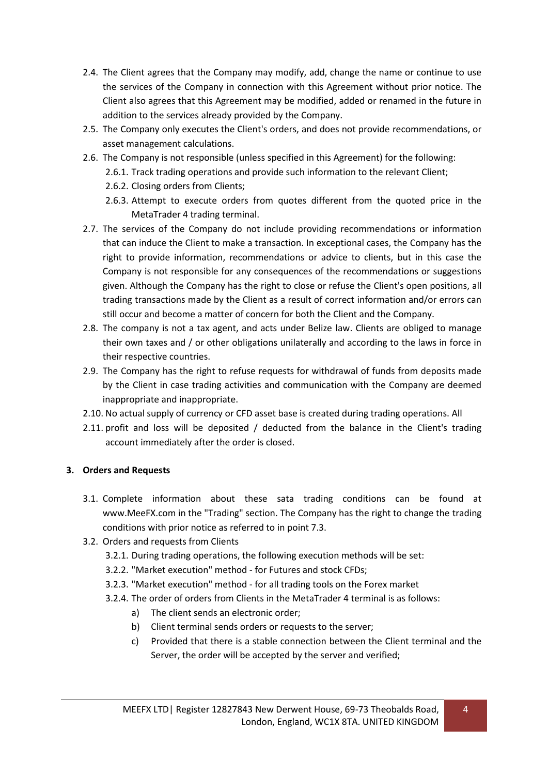- 2.4. The Client agrees that the Company may modify, add, change the name or continue to use the services of the Company in connection with this Agreement without prior notice. The Client also agrees that this Agreement may be modified, added or renamed in the future in addition to the services already provided by the Company.
- 2.5. The Company only executes the Client's orders, and does not provide recommendations, or asset management calculations.
- 2.6. The Company is not responsible (unless specified in this Agreement) for the following:
	- 2.6.1. Track trading operations and provide such information to the relevant Client;
	- 2.6.2. Closing orders from Clients;
	- 2.6.3. Attempt to execute orders from quotes different from the quoted price in the MetaTrader 4 trading terminal.
- 2.7. The services of the Company do not include providing recommendations or information that can induce the Client to make a transaction. In exceptional cases, the Company has the right to provide information, recommendations or advice to clients, but in this case the Company is not responsible for any consequences of the recommendations or suggestions given. Although the Company has the right to close or refuse the Client's open positions, all trading transactions made by the Client as a result of correct information and/or errors can still occur and become a matter of concern for both the Client and the Company.
- 2.8. The company is not a tax agent, and acts under Belize law. Clients are obliged to manage their own taxes and / or other obligations unilaterally and according to the laws in force in their respective countries.
- 2.9. The Company has the right to refuse requests for withdrawal of funds from deposits made by the Client in case trading activities and communication with the Company are deemed inappropriate and inappropriate.
- 2.10. No actual supply of currency or CFD asset base is created during trading operations. All
- 2.11. profit and loss will be deposited / deducted from the balance in the Client's trading account immediately after the order is closed.

## **3. Orders and Requests**

- 3.1. Complete information about these sata trading conditions can be found at www.MeeFX.com in the "Trading" section. The Company has the right to change the trading conditions with prior notice as referred to in point 7.3.
- 3.2. Orders and requests from Clients
	- 3.2.1. During trading operations, the following execution methods will be set:
	- 3.2.2. "Market execution" method for Futures and stock CFDs;
	- 3.2.3. "Market execution" method for all trading tools on the Forex market
	- 3.2.4. The order of orders from Clients in the MetaTrader 4 terminal is as follows:
		- a) The client sends an electronic order;
		- b) Client terminal sends orders or requests to the server;
		- c) Provided that there is a stable connection between the Client terminal and the Server, the order will be accepted by the server and verified;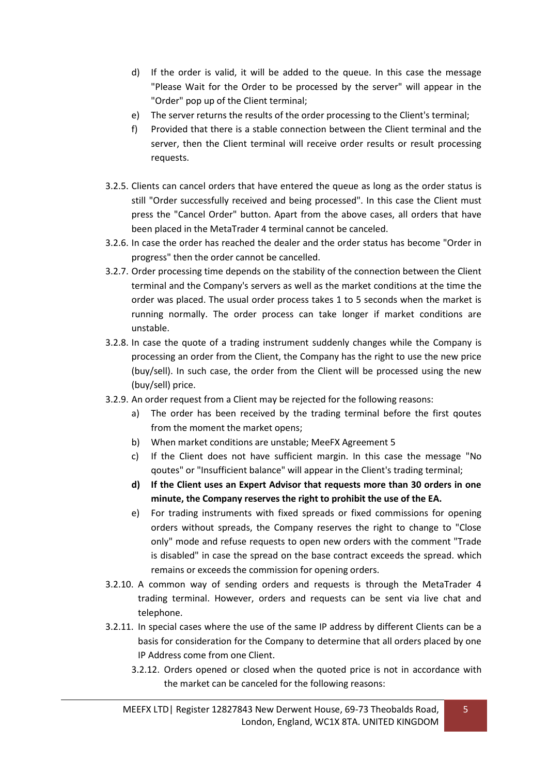- d) If the order is valid, it will be added to the queue. In this case the message "Please Wait for the Order to be processed by the server" will appear in the "Order" pop up of the Client terminal;
- e) The server returns the results of the order processing to the Client's terminal;
- f) Provided that there is a stable connection between the Client terminal and the server, then the Client terminal will receive order results or result processing requests.
- 3.2.5. Clients can cancel orders that have entered the queue as long as the order status is still "Order successfully received and being processed". In this case the Client must press the "Cancel Order" button. Apart from the above cases, all orders that have been placed in the MetaTrader 4 terminal cannot be canceled.
- 3.2.6. In case the order has reached the dealer and the order status has become "Order in progress" then the order cannot be cancelled.
- 3.2.7. Order processing time depends on the stability of the connection between the Client terminal and the Company's servers as well as the market conditions at the time the order was placed. The usual order process takes 1 to 5 seconds when the market is running normally. The order process can take longer if market conditions are unstable.
- 3.2.8. In case the quote of a trading instrument suddenly changes while the Company is processing an order from the Client, the Company has the right to use the new price (buy/sell). In such case, the order from the Client will be processed using the new (buy/sell) price.
- 3.2.9. An order request from a Client may be rejected for the following reasons:
	- a) The order has been received by the trading terminal before the first qoutes from the moment the market opens;
	- b) When market conditions are unstable; MeeFX Agreement 5
	- c) If the Client does not have sufficient margin. In this case the message "No qoutes" or "Insufficient balance" will appear in the Client's trading terminal;
	- **d) If the Client uses an Expert Advisor that requests more than 30 orders in one minute, the Company reserves the right to prohibit the use of the EA.**
	- e) For trading instruments with fixed spreads or fixed commissions for opening orders without spreads, the Company reserves the right to change to "Close only" mode and refuse requests to open new orders with the comment "Trade is disabled" in case the spread on the base contract exceeds the spread. which remains or exceeds the commission for opening orders.
- 3.2.10. A common way of sending orders and requests is through the MetaTrader 4 trading terminal. However, orders and requests can be sent via live chat and telephone.
- 3.2.11. In special cases where the use of the same IP address by different Clients can be a basis for consideration for the Company to determine that all orders placed by one IP Address come from one Client.
	- 3.2.12. Orders opened or closed when the quoted price is not in accordance with the market can be canceled for the following reasons: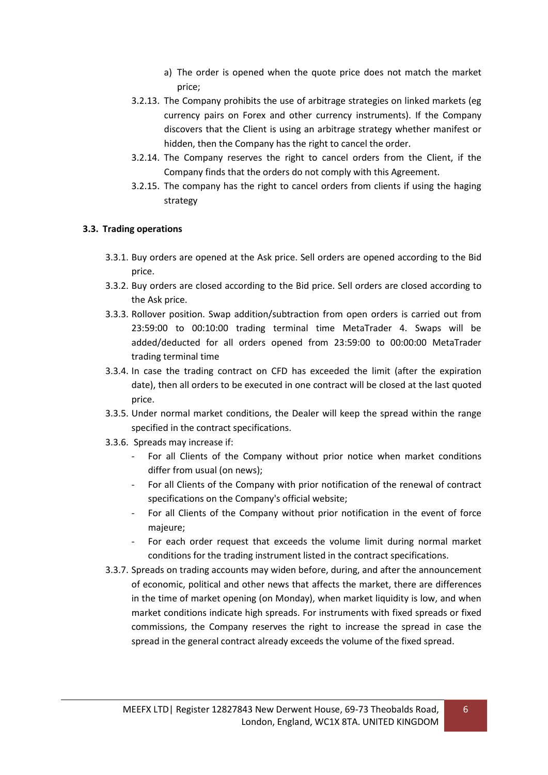- a) The order is opened when the quote price does not match the market price;
- 3.2.13. The Company prohibits the use of arbitrage strategies on linked markets (eg currency pairs on Forex and other currency instruments). If the Company discovers that the Client is using an arbitrage strategy whether manifest or hidden, then the Company has the right to cancel the order.
- 3.2.14. The Company reserves the right to cancel orders from the Client, if the Company finds that the orders do not comply with this Agreement.
- 3.2.15. The company has the right to cancel orders from clients if using the haging strategy

#### **3.3. Trading operations**

- 3.3.1. Buy orders are opened at the Ask price. Sell orders are opened according to the Bid price.
- 3.3.2. Buy orders are closed according to the Bid price. Sell orders are closed according to the Ask price.
- 3.3.3. Rollover position. Swap addition/subtraction from open orders is carried out from 23:59:00 to 00:10:00 trading terminal time MetaTrader 4. Swaps will be added/deducted for all orders opened from 23:59:00 to 00:00:00 MetaTrader trading terminal time
- 3.3.4. In case the trading contract on CFD has exceeded the limit (after the expiration date), then all orders to be executed in one contract will be closed at the last quoted price.
- 3.3.5. Under normal market conditions, the Dealer will keep the spread within the range specified in the contract specifications.
- 3.3.6. Spreads may increase if:
	- For all Clients of the Company without prior notice when market conditions differ from usual (on news);
	- For all Clients of the Company with prior notification of the renewal of contract specifications on the Company's official website;
	- For all Clients of the Company without prior notification in the event of force majeure;
	- For each order request that exceeds the volume limit during normal market conditions for the trading instrument listed in the contract specifications.
- 3.3.7. Spreads on trading accounts may widen before, during, and after the announcement of economic, political and other news that affects the market, there are differences in the time of market opening (on Monday), when market liquidity is low, and when market conditions indicate high spreads. For instruments with fixed spreads or fixed commissions, the Company reserves the right to increase the spread in case the spread in the general contract already exceeds the volume of the fixed spread.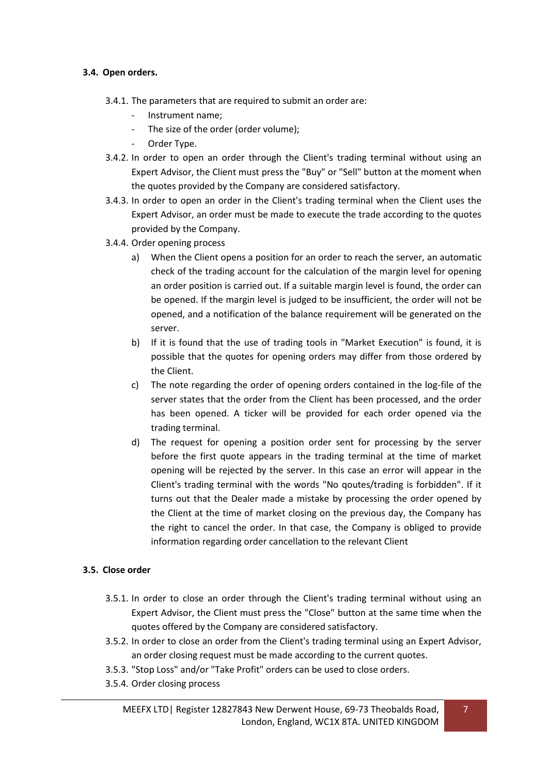#### **3.4. Open orders.**

- 3.4.1. The parameters that are required to submit an order are:
	- Instrument name;
	- The size of the order (order volume);
	- Order Type.
- 3.4.2. In order to open an order through the Client's trading terminal without using an Expert Advisor, the Client must press the "Buy" or "Sell" button at the moment when the quotes provided by the Company are considered satisfactory.
- 3.4.3. In order to open an order in the Client's trading terminal when the Client uses the Expert Advisor, an order must be made to execute the trade according to the quotes provided by the Company.
- 3.4.4. Order opening process
	- a) When the Client opens a position for an order to reach the server, an automatic check of the trading account for the calculation of the margin level for opening an order position is carried out. If a suitable margin level is found, the order can be opened. If the margin level is judged to be insufficient, the order will not be opened, and a notification of the balance requirement will be generated on the server.
	- b) If it is found that the use of trading tools in "Market Execution" is found, it is possible that the quotes for opening orders may differ from those ordered by the Client.
	- c) The note regarding the order of opening orders contained in the log-file of the server states that the order from the Client has been processed, and the order has been opened. A ticker will be provided for each order opened via the trading terminal.
	- d) The request for opening a position order sent for processing by the server before the first quote appears in the trading terminal at the time of market opening will be rejected by the server. In this case an error will appear in the Client's trading terminal with the words "No qoutes/trading is forbidden". If it turns out that the Dealer made a mistake by processing the order opened by the Client at the time of market closing on the previous day, the Company has the right to cancel the order. In that case, the Company is obliged to provide information regarding order cancellation to the relevant Client

## **3.5. Close order**

- 3.5.1. In order to close an order through the Client's trading terminal without using an Expert Advisor, the Client must press the "Close" button at the same time when the quotes offered by the Company are considered satisfactory.
- 3.5.2. In order to close an order from the Client's trading terminal using an Expert Advisor, an order closing request must be made according to the current quotes.
- 3.5.3. "Stop Loss" and/or "Take Profit" orders can be used to close orders.
- 3.5.4. Order closing process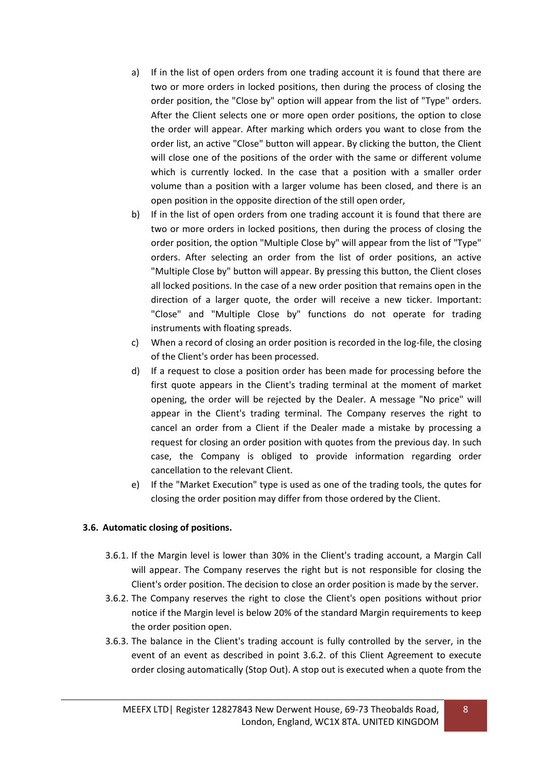- a) If in the list of open orders from one trading account it is found that there are two or more orders in locked positions, then during the process of closing the order position, the "Close by" option will appear from the list of "Type" orders. After the Client selects one or more open order positions, the option to close the order will appear. After marking which orders you want to close from the order list, an active "Close" button will appear. By clicking the button, the Client will close one of the positions of the order with the same or different volume which is currently locked. In the case that a position with a smaller order volume than a position with a larger volume has been closed, and there is an open position in the opposite direction of the still open order,
- b) If in the list of open orders from one trading account it is found that there are two or more orders in locked positions, then during the process of closing the order position, the option "Multiple Close by" will appear from the list of "Type" orders. After selecting an order from the list of order positions, an active "Multiple Close by" button will appear. By pressing this button, the Client closes all locked positions. In the case of a new order position that remains open in the direction of a larger quote, the order will receive a new ticker. Important: "Close" and "Multiple Close by" functions do not operate for trading instruments with floating spreads.
- c) When a record of closing an order position is recorded in the log-file, the closing of the Client's order has been processed.
- d) If a request to close a position order has been made for processing before the first quote appears in the Client's trading terminal at the moment of market opening, the order will be rejected by the Dealer. A message "No price" will appear in the Client's trading terminal. The Company reserves the right to cancel an order from a Client if the Dealer made a mistake by processing a request for closing an order position with quotes from the previous day. In such case, the Company is obliged to provide information regarding order cancellation to the relevant Client.
- e) If the "Market Execution" type is used as one of the trading tools, the qutes for closing the order position may differ from those ordered by the Client.

## **3.6. Automatic closing of positions.**

- 3.6.1. If the Margin level is lower than 30% in the Client's trading account, a Margin Call will appear. The Company reserves the right but is not responsible for closing the Client's order position. The decision to close an order position is made by the server.
- 3.6.2. The Company reserves the right to close the Client's open positions without prior notice if the Margin level is below 20% of the standard Margin requirements to keep the order position open.
- 3.6.3. The balance in the Client's trading account is fully controlled by the server, in the event of an event as described in point 3.6.2. of this Client Agreement to execute order closing automatically (Stop Out). A stop out is executed when a quote from the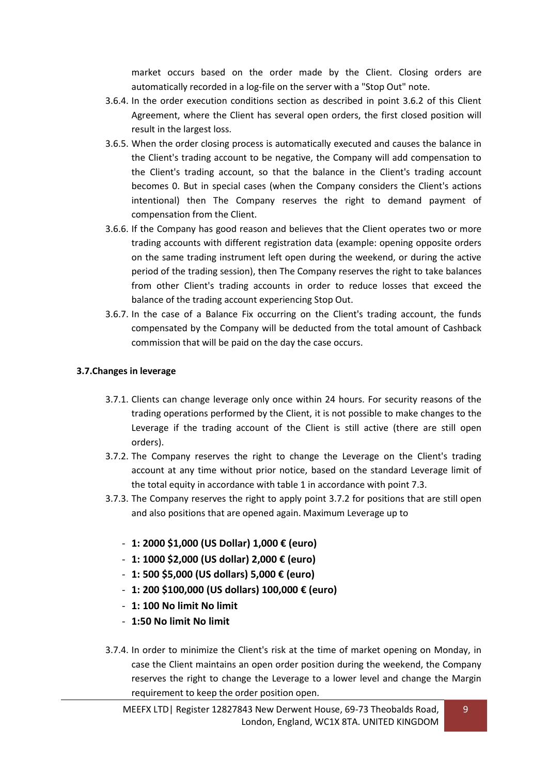market occurs based on the order made by the Client. Closing orders are automatically recorded in a log-file on the server with a "Stop Out" note.

- 3.6.4. In the order execution conditions section as described in point 3.6.2 of this Client Agreement, where the Client has several open orders, the first closed position will result in the largest loss.
- 3.6.5. When the order closing process is automatically executed and causes the balance in the Client's trading account to be negative, the Company will add compensation to the Client's trading account, so that the balance in the Client's trading account becomes 0. But in special cases (when the Company considers the Client's actions intentional) then The Company reserves the right to demand payment of compensation from the Client.
- 3.6.6. If the Company has good reason and believes that the Client operates two or more trading accounts with different registration data (example: opening opposite orders on the same trading instrument left open during the weekend, or during the active period of the trading session), then The Company reserves the right to take balances from other Client's trading accounts in order to reduce losses that exceed the balance of the trading account experiencing Stop Out.
- 3.6.7. In the case of a Balance Fix occurring on the Client's trading account, the funds compensated by the Company will be deducted from the total amount of Cashback commission that will be paid on the day the case occurs.

#### **3.7.Changes in leverage**

- 3.7.1. Clients can change leverage only once within 24 hours. For security reasons of the trading operations performed by the Client, it is not possible to make changes to the Leverage if the trading account of the Client is still active (there are still open orders).
- 3.7.2. The Company reserves the right to change the Leverage on the Client's trading account at any time without prior notice, based on the standard Leverage limit of the total equity in accordance with table 1 in accordance with point 7.3.
- 3.7.3. The Company reserves the right to apply point 3.7.2 for positions that are still open and also positions that are opened again. Maximum Leverage up to
	- **1: 2000 \$1,000 (US Dollar) 1,000 € (euro)**
	- **1: 1000 \$2,000 (US dollar) 2,000 € (euro)**
	- **1: 500 \$5,000 (US dollars) 5,000 € (euro)**
	- **1: 200 \$100,000 (US dollars) 100,000 € (euro)**
	- **1: 100 No limit No limit**
	- **1:50 No limit No limit**
- 3.7.4. In order to minimize the Client's risk at the time of market opening on Monday, in case the Client maintains an open order position during the weekend, the Company reserves the right to change the Leverage to a lower level and change the Margin requirement to keep the order position open.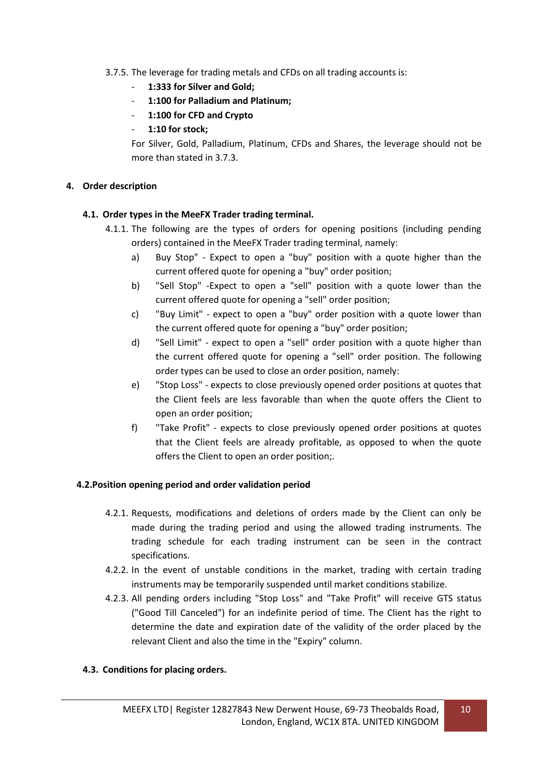#### 3.7.5. The leverage for trading metals and CFDs on all trading accounts is:

- **1:333 for Silver and Gold;**
- **1:100 for Palladium and Platinum;**
- **1:100 for CFD and Crypto**
- **1:10 for stock;**

For Silver, Gold, Palladium, Platinum, CFDs and Shares, the leverage should not be more than stated in 3.7.3.

#### **4. Order description**

#### **4.1. Order types in the MeeFX Trader trading terminal.**

- 4.1.1. The following are the types of orders for opening positions (including pending orders) contained in the MeeFX Trader trading terminal, namely:
	- a) Buy Stop" Expect to open a "buy" position with a quote higher than the current offered quote for opening a "buy" order position;
	- b) "Sell Stop" -Expect to open a "sell" position with a quote lower than the current offered quote for opening a "sell" order position;
	- c) "Buy Limit" expect to open a "buy" order position with a quote lower than the current offered quote for opening a "buy" order position;
	- d) "Sell Limit" expect to open a "sell" order position with a quote higher than the current offered quote for opening a "sell" order position. The following order types can be used to close an order position, namely:
	- e) "Stop Loss" expects to close previously opened order positions at quotes that the Client feels are less favorable than when the quote offers the Client to open an order position;
	- f) "Take Profit" expects to close previously opened order positions at quotes that the Client feels are already profitable, as opposed to when the quote offers the Client to open an order position;.

#### **4.2.Position opening period and order validation period**

- 4.2.1. Requests, modifications and deletions of orders made by the Client can only be made during the trading period and using the allowed trading instruments. The trading schedule for each trading instrument can be seen in the contract specifications.
- 4.2.2. In the event of unstable conditions in the market, trading with certain trading instruments may be temporarily suspended until market conditions stabilize.
- 4.2.3. All pending orders including "Stop Loss" and "Take Profit" will receive GTS status ("Good Till Canceled") for an indefinite period of time. The Client has the right to determine the date and expiration date of the validity of the order placed by the relevant Client and also the time in the "Expiry" column.

#### **4.3. Conditions for placing orders.**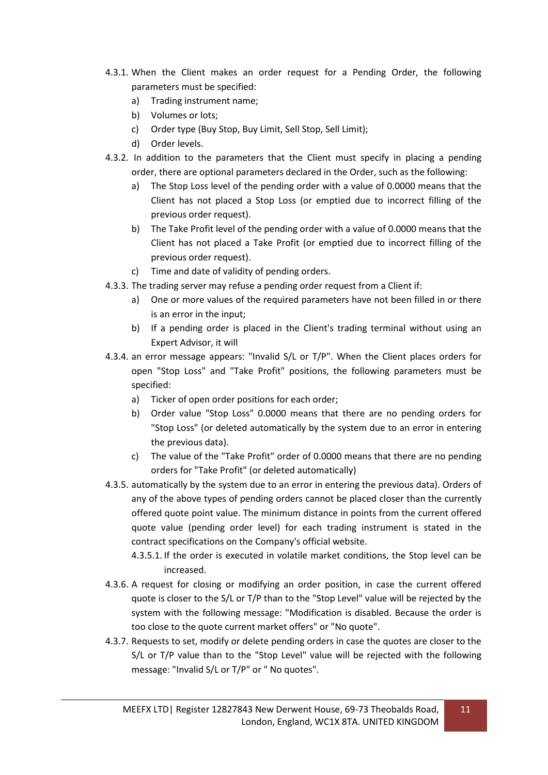- 4.3.1. When the Client makes an order request for a Pending Order, the following parameters must be specified:
	- a) Trading instrument name;
	- b) Volumes or lots;
	- c) Order type (Buy Stop, Buy Limit, Sell Stop, Sell Limit);
	- d) Order levels.
- 4.3.2. In addition to the parameters that the Client must specify in placing a pending order, there are optional parameters declared in the Order, such as the following:
	- a) The Stop Loss level of the pending order with a value of 0.0000 means that the Client has not placed a Stop Loss (or emptied due to incorrect filling of the previous order request).
	- b) The Take Profit level of the pending order with a value of 0.0000 means that the Client has not placed a Take Profit (or emptied due to incorrect filling of the previous order request).
	- c) Time and date of validity of pending orders.
- 4.3.3. The trading server may refuse a pending order request from a Client if:
	- a) One or more values of the required parameters have not been filled in or there is an error in the input;
	- b) If a pending order is placed in the Client's trading terminal without using an Expert Advisor, it will
- 4.3.4. an error message appears: "Invalid S/L or T/P". When the Client places orders for open "Stop Loss" and "Take Profit" positions, the following parameters must be specified:
	- a) Ticker of open order positions for each order;
	- b) Order value "Stop Loss" 0.0000 means that there are no pending orders for "Stop Loss" (or deleted automatically by the system due to an error in entering the previous data).
	- c) The value of the "Take Profit" order of 0.0000 means that there are no pending orders for "Take Profit" (or deleted automatically)
- 4.3.5. automatically by the system due to an error in entering the previous data). Orders of any of the above types of pending orders cannot be placed closer than the currently offered quote point value. The minimum distance in points from the current offered quote value (pending order level) for each trading instrument is stated in the contract specifications on the Company's official website.
	- 4.3.5.1. If the order is executed in volatile market conditions, the Stop level can be increased.
- 4.3.6. A request for closing or modifying an order position, in case the current offered quote is closer to the S/L or T/P than to the "Stop Level" value will be rejected by the system with the following message: "Modification is disabled. Because the order is too close to the quote current market offers" or "No quote".
- 4.3.7. Requests to set, modify or delete pending orders in case the quotes are closer to the S/L or T/P value than to the "Stop Level" value will be rejected with the following message: "Invalid S/L or T/P" or " No quotes".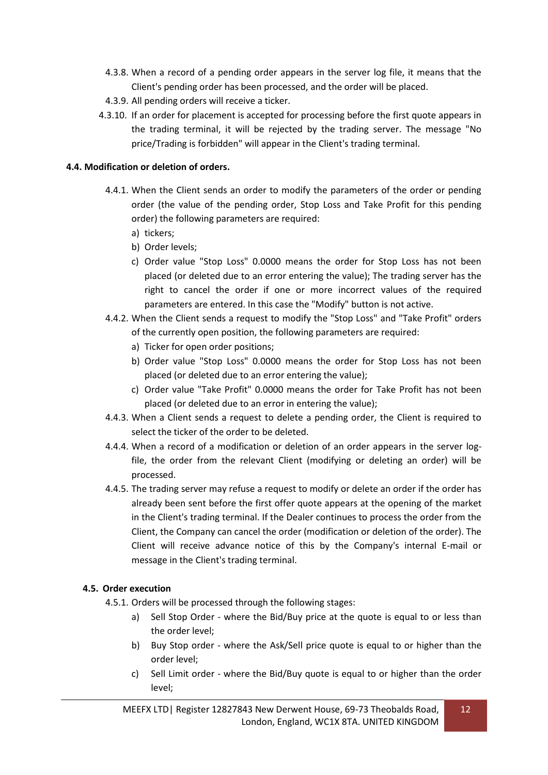- 4.3.8. When a record of a pending order appears in the server log file, it means that the Client's pending order has been processed, and the order will be placed.
- 4.3.9. All pending orders will receive a ticker.
- 4.3.10. If an order for placement is accepted for processing before the first quote appears in the trading terminal, it will be rejected by the trading server. The message "No price/Trading is forbidden" will appear in the Client's trading terminal.

#### **4.4. Modification or deletion of orders.**

- 4.4.1. When the Client sends an order to modify the parameters of the order or pending order (the value of the pending order, Stop Loss and Take Profit for this pending order) the following parameters are required:
	- a) tickers;
	- b) Order levels;
	- c) Order value "Stop Loss" 0.0000 means the order for Stop Loss has not been placed (or deleted due to an error entering the value); The trading server has the right to cancel the order if one or more incorrect values of the required parameters are entered. In this case the "Modify" button is not active.
- 4.4.2. When the Client sends a request to modify the "Stop Loss" and "Take Profit" orders of the currently open position, the following parameters are required:
	- a) Ticker for open order positions;
	- b) Order value "Stop Loss" 0.0000 means the order for Stop Loss has not been placed (or deleted due to an error entering the value);
	- c) Order value "Take Profit" 0.0000 means the order for Take Profit has not been placed (or deleted due to an error in entering the value);
- 4.4.3. When a Client sends a request to delete a pending order, the Client is required to select the ticker of the order to be deleted.
- 4.4.4. When a record of a modification or deletion of an order appears in the server logfile, the order from the relevant Client (modifying or deleting an order) will be processed.
- 4.4.5. The trading server may refuse a request to modify or delete an order if the order has already been sent before the first offer quote appears at the opening of the market in the Client's trading terminal. If the Dealer continues to process the order from the Client, the Company can cancel the order (modification or deletion of the order). The Client will receive advance notice of this by the Company's internal E-mail or message in the Client's trading terminal.

#### **4.5. Order execution**

- 4.5.1. Orders will be processed through the following stages:
	- a) Sell Stop Order where the Bid/Buy price at the quote is equal to or less than the order level;
	- b) Buy Stop order where the Ask/Sell price quote is equal to or higher than the order level;
	- c) Sell Limit order where the Bid/Buy quote is equal to or higher than the order level;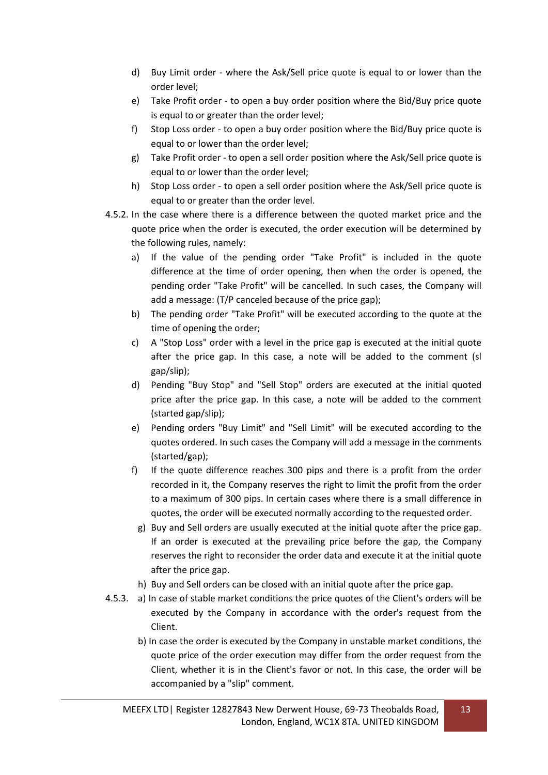- d) Buy Limit order where the Ask/Sell price quote is equal to or lower than the order level;
- e) Take Profit order to open a buy order position where the Bid/Buy price quote is equal to or greater than the order level;
- f) Stop Loss order to open a buy order position where the Bid/Buy price quote is equal to or lower than the order level;
- g) Take Profit order to open a sell order position where the Ask/Sell price quote is equal to or lower than the order level;
- h) Stop Loss order to open a sell order position where the Ask/Sell price quote is equal to or greater than the order level.
- 4.5.2. In the case where there is a difference between the quoted market price and the quote price when the order is executed, the order execution will be determined by the following rules, namely:
	- a) If the value of the pending order "Take Profit" is included in the quote difference at the time of order opening, then when the order is opened, the pending order "Take Profit" will be cancelled. In such cases, the Company will add a message: (T/P canceled because of the price gap);
	- b) The pending order "Take Profit" will be executed according to the quote at the time of opening the order;
	- c) A "Stop Loss" order with a level in the price gap is executed at the initial quote after the price gap. In this case, a note will be added to the comment (sl gap/slip);
	- d) Pending "Buy Stop" and "Sell Stop" orders are executed at the initial quoted price after the price gap. In this case, a note will be added to the comment (started gap/slip);
	- e) Pending orders "Buy Limit" and "Sell Limit" will be executed according to the quotes ordered. In such cases the Company will add a message in the comments (started/gap);
	- f) If the quote difference reaches 300 pips and there is a profit from the order recorded in it, the Company reserves the right to limit the profit from the order to a maximum of 300 pips. In certain cases where there is a small difference in quotes, the order will be executed normally according to the requested order.
		- g) Buy and Sell orders are usually executed at the initial quote after the price gap. If an order is executed at the prevailing price before the gap, the Company reserves the right to reconsider the order data and execute it at the initial quote after the price gap.
		- h) Buy and Sell orders can be closed with an initial quote after the price gap.
- 4.5.3. a) In case of stable market conditions the price quotes of the Client's orders will be executed by the Company in accordance with the order's request from the Client.
	- b) In case the order is executed by the Company in unstable market conditions, the quote price of the order execution may differ from the order request from the Client, whether it is in the Client's favor or not. In this case, the order will be accompanied by a "slip" comment.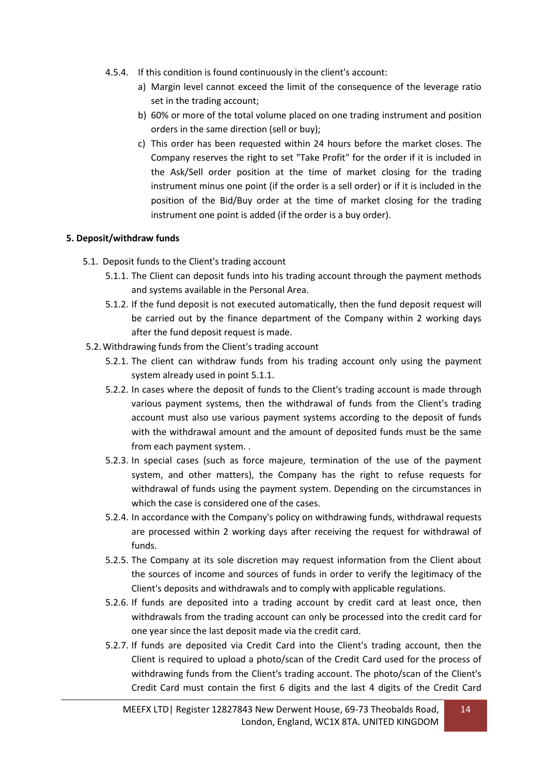- 4.5.4. If this condition is found continuously in the client's account:
	- a) Margin level cannot exceed the limit of the consequence of the leverage ratio set in the trading account;
	- b) 60% or more of the total volume placed on one trading instrument and position orders in the same direction (sell or buy);
	- c) This order has been requested within 24 hours before the market closes. The Company reserves the right to set "Take Profit" for the order if it is included in the Ask/Sell order position at the time of market closing for the trading instrument minus one point (if the order is a sell order) or if it is included in the position of the Bid/Buy order at the time of market closing for the trading instrument one point is added (if the order is a buy order).

#### **5. Deposit/withdraw funds**

- 5.1. Deposit funds to the Client's trading account
	- 5.1.1. The Client can deposit funds into his trading account through the payment methods and systems available in the Personal Area.
	- 5.1.2. If the fund deposit is not executed automatically, then the fund deposit request will be carried out by the finance department of the Company within 2 working days after the fund deposit request is made.
- 5.2.Withdrawing funds from the Client's trading account
	- 5.2.1. The client can withdraw funds from his trading account only using the payment system already used in point 5.1.1.
	- 5.2.2. In cases where the deposit of funds to the Client's trading account is made through various payment systems, then the withdrawal of funds from the Client's trading account must also use various payment systems according to the deposit of funds with the withdrawal amount and the amount of deposited funds must be the same from each payment system. .
	- 5.2.3. In special cases (such as force majeure, termination of the use of the payment system, and other matters), the Company has the right to refuse requests for withdrawal of funds using the payment system. Depending on the circumstances in which the case is considered one of the cases.
	- 5.2.4. In accordance with the Company's policy on withdrawing funds, withdrawal requests are processed within 2 working days after receiving the request for withdrawal of funds.
	- 5.2.5. The Company at its sole discretion may request information from the Client about the sources of income and sources of funds in order to verify the legitimacy of the Client's deposits and withdrawals and to comply with applicable regulations.
	- 5.2.6. If funds are deposited into a trading account by credit card at least once, then withdrawals from the trading account can only be processed into the credit card for one year since the last deposit made via the credit card.
	- 5.2.7. If funds are deposited via Credit Card into the Client's trading account, then the Client is required to upload a photo/scan of the Credit Card used for the process of withdrawing funds from the Client's trading account. The photo/scan of the Client's Credit Card must contain the first 6 digits and the last 4 digits of the Credit Card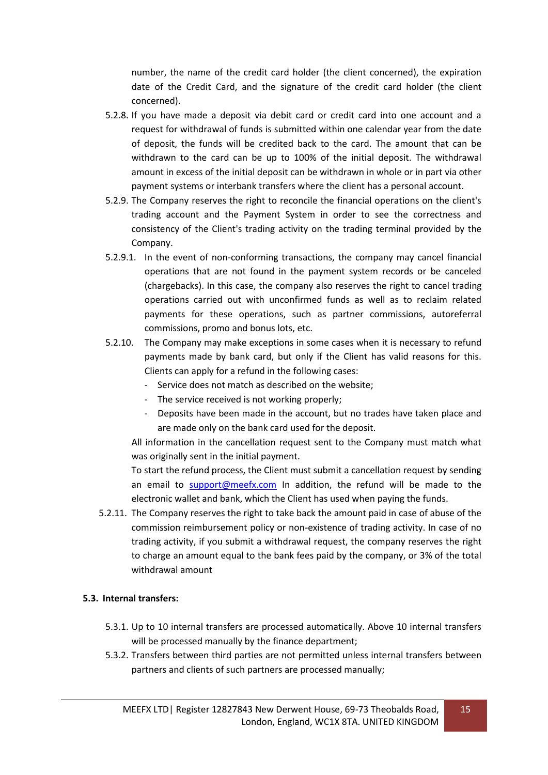number, the name of the credit card holder (the client concerned), the expiration date of the Credit Card, and the signature of the credit card holder (the client concerned).

- 5.2.8. If you have made a deposit via debit card or credit card into one account and a request for withdrawal of funds is submitted within one calendar year from the date of deposit, the funds will be credited back to the card. The amount that can be withdrawn to the card can be up to 100% of the initial deposit. The withdrawal amount in excess of the initial deposit can be withdrawn in whole or in part via other payment systems or interbank transfers where the client has a personal account.
- 5.2.9. The Company reserves the right to reconcile the financial operations on the client's trading account and the Payment System in order to see the correctness and consistency of the Client's trading activity on the trading terminal provided by the Company.
- 5.2.9.1. In the event of non-conforming transactions, the company may cancel financial operations that are not found in the payment system records or be canceled (chargebacks). In this case, the company also reserves the right to cancel trading operations carried out with unconfirmed funds as well as to reclaim related payments for these operations, such as partner commissions, autoreferral commissions, promo and bonus lots, etc.
- 5.2.10. The Company may make exceptions in some cases when it is necessary to refund payments made by bank card, but only if the Client has valid reasons for this. Clients can apply for a refund in the following cases:
	- Service does not match as described on the website;
	- The service received is not working properly;
	- Deposits have been made in the account, but no trades have taken place and are made only on the bank card used for the deposit.

All information in the cancellation request sent to the Company must match what was originally sent in the initial payment.

To start the refund process, the Client must submit a cancellation request by sending an email to [support@meefx.com](mailto:support@meefx.com) In addition, the refund will be made to the electronic wallet and bank, which the Client has used when paying the funds.

5.2.11. The Company reserves the right to take back the amount paid in case of abuse of the commission reimbursement policy or non-existence of trading activity. In case of no trading activity, if you submit a withdrawal request, the company reserves the right to charge an amount equal to the bank fees paid by the company, or 3% of the total withdrawal amount

## **5.3. Internal transfers:**

- 5.3.1. Up to 10 internal transfers are processed automatically. Above 10 internal transfers will be processed manually by the finance department;
- 5.3.2. Transfers between third parties are not permitted unless internal transfers between partners and clients of such partners are processed manually;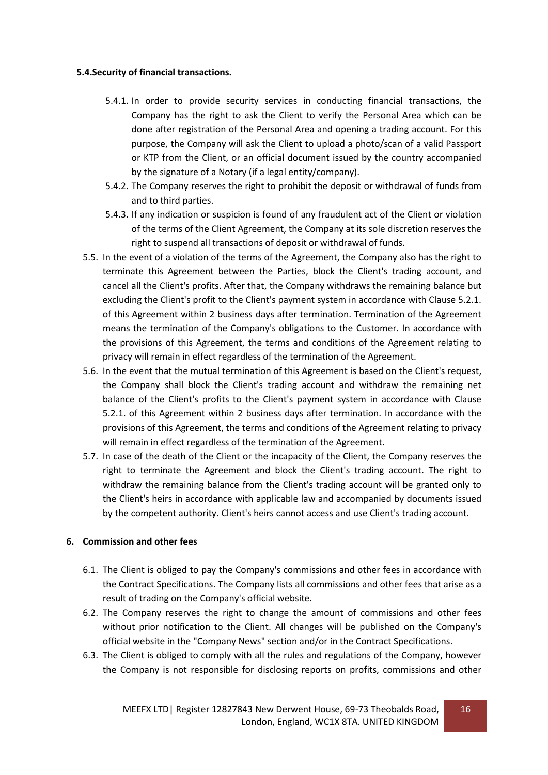#### **5.4.Security of financial transactions.**

- 5.4.1. In order to provide security services in conducting financial transactions, the Company has the right to ask the Client to verify the Personal Area which can be done after registration of the Personal Area and opening a trading account. For this purpose, the Company will ask the Client to upload a photo/scan of a valid Passport or KTP from the Client, or an official document issued by the country accompanied by the signature of a Notary (if a legal entity/company).
- 5.4.2. The Company reserves the right to prohibit the deposit or withdrawal of funds from and to third parties.
- 5.4.3. If any indication or suspicion is found of any fraudulent act of the Client or violation of the terms of the Client Agreement, the Company at its sole discretion reserves the right to suspend all transactions of deposit or withdrawal of funds.
- 5.5. In the event of a violation of the terms of the Agreement, the Company also has the right to terminate this Agreement between the Parties, block the Client's trading account, and cancel all the Client's profits. After that, the Company withdraws the remaining balance but excluding the Client's profit to the Client's payment system in accordance with Clause 5.2.1. of this Agreement within 2 business days after termination. Termination of the Agreement means the termination of the Company's obligations to the Customer. In accordance with the provisions of this Agreement, the terms and conditions of the Agreement relating to privacy will remain in effect regardless of the termination of the Agreement.
- 5.6. In the event that the mutual termination of this Agreement is based on the Client's request, the Company shall block the Client's trading account and withdraw the remaining net balance of the Client's profits to the Client's payment system in accordance with Clause 5.2.1. of this Agreement within 2 business days after termination. In accordance with the provisions of this Agreement, the terms and conditions of the Agreement relating to privacy will remain in effect regardless of the termination of the Agreement.
- 5.7. In case of the death of the Client or the incapacity of the Client, the Company reserves the right to terminate the Agreement and block the Client's trading account. The right to withdraw the remaining balance from the Client's trading account will be granted only to the Client's heirs in accordance with applicable law and accompanied by documents issued by the competent authority. Client's heirs cannot access and use Client's trading account.

#### **6. Commission and other fees**

- 6.1. The Client is obliged to pay the Company's commissions and other fees in accordance with the Contract Specifications. The Company lists all commissions and other fees that arise as a result of trading on the Company's official website.
- 6.2. The Company reserves the right to change the amount of commissions and other fees without prior notification to the Client. All changes will be published on the Company's official website in the "Company News" section and/or in the Contract Specifications.
- 6.3. The Client is obliged to comply with all the rules and regulations of the Company, however the Company is not responsible for disclosing reports on profits, commissions and other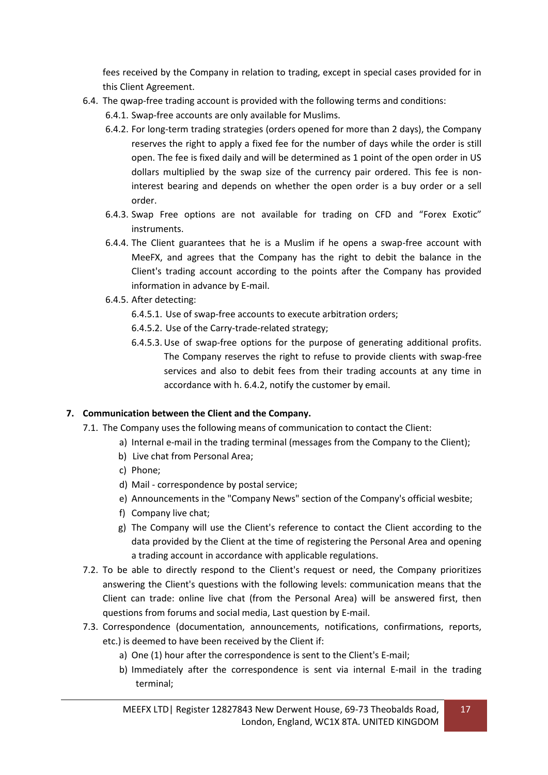fees received by the Company in relation to trading, except in special cases provided for in this Client Agreement.

- 6.4. The qwap-free trading account is provided with the following terms and conditions:
	- 6.4.1. Swap-free accounts are only available for Muslims.
	- 6.4.2. For long-term trading strategies (orders opened for more than 2 days), the Company reserves the right to apply a fixed fee for the number of days while the order is still open. The fee is fixed daily and will be determined as 1 point of the open order in US dollars multiplied by the swap size of the currency pair ordered. This fee is noninterest bearing and depends on whether the open order is a buy order or a sell order.
	- 6.4.3. Swap Free options are not available for trading on CFD and "Forex Exotic" instruments.
	- 6.4.4. The Client guarantees that he is a Muslim if he opens a swap-free account with MeeFX, and agrees that the Company has the right to debit the balance in the Client's trading account according to the points after the Company has provided information in advance by E-mail.
	- 6.4.5. After detecting:
		- 6.4.5.1. Use of swap-free accounts to execute arbitration orders;
		- 6.4.5.2. Use of the Carry-trade-related strategy;
		- 6.4.5.3. Use of swap-free options for the purpose of generating additional profits. The Company reserves the right to refuse to provide clients with swap-free services and also to debit fees from their trading accounts at any time in accordance with h. 6.4.2, notify the customer by email.

## **7. Communication between the Client and the Company.**

- 7.1. The Company uses the following means of communication to contact the Client:
	- a) Internal e-mail in the trading terminal (messages from the Company to the Client);
	- b) Live chat from Personal Area;
	- c) Phone;
	- d) Mail correspondence by postal service;
	- e) Announcements in the "Company News" section of the Company's official wesbite;
	- f) Company live chat;
	- g) The Company will use the Client's reference to contact the Client according to the data provided by the Client at the time of registering the Personal Area and opening a trading account in accordance with applicable regulations.
- 7.2. To be able to directly respond to the Client's request or need, the Company prioritizes answering the Client's questions with the following levels: communication means that the Client can trade: online live chat (from the Personal Area) will be answered first, then questions from forums and social media, Last question by E-mail.
- 7.3. Correspondence (documentation, announcements, notifications, confirmations, reports, etc.) is deemed to have been received by the Client if:
	- a) One (1) hour after the correspondence is sent to the Client's E-mail;
	- b) Immediately after the correspondence is sent via internal E-mail in the trading terminal;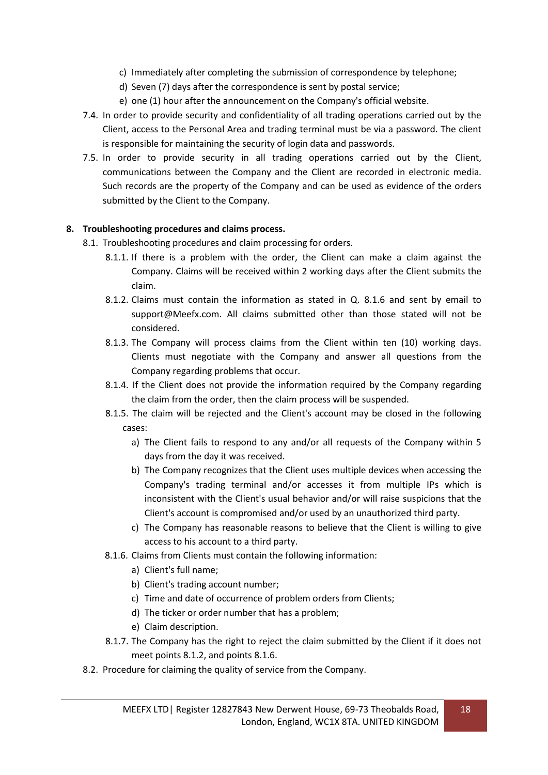- c) Immediately after completing the submission of correspondence by telephone;
- d) Seven (7) days after the correspondence is sent by postal service;
- e) one (1) hour after the announcement on the Company's official website.
- 7.4. In order to provide security and confidentiality of all trading operations carried out by the Client, access to the Personal Area and trading terminal must be via a password. The client is responsible for maintaining the security of login data and passwords.
- 7.5. In order to provide security in all trading operations carried out by the Client, communications between the Company and the Client are recorded in electronic media. Such records are the property of the Company and can be used as evidence of the orders submitted by the Client to the Company.

#### **8. Troubleshooting procedures and claims process.**

- 8.1. Troubleshooting procedures and claim processing for orders.
	- 8.1.1. If there is a problem with the order, the Client can make a claim against the Company. Claims will be received within 2 working days after the Client submits the claim.
	- 8.1.2. Claims must contain the information as stated in Q. 8.1.6 and sent by email to support@Meefx.com. All claims submitted other than those stated will not be considered.
	- 8.1.3. The Company will process claims from the Client within ten (10) working days. Clients must negotiate with the Company and answer all questions from the Company regarding problems that occur.
	- 8.1.4. If the Client does not provide the information required by the Company regarding the claim from the order, then the claim process will be suspended.
	- 8.1.5. The claim will be rejected and the Client's account may be closed in the following cases:
		- a) The Client fails to respond to any and/or all requests of the Company within 5 days from the day it was received.
		- b) The Company recognizes that the Client uses multiple devices when accessing the Company's trading terminal and/or accesses it from multiple IPs which is inconsistent with the Client's usual behavior and/or will raise suspicions that the Client's account is compromised and/or used by an unauthorized third party.
		- c) The Company has reasonable reasons to believe that the Client is willing to give access to his account to a third party.
	- 8.1.6. Claims from Clients must contain the following information:
		- a) Client's full name;
		- b) Client's trading account number;
		- c) Time and date of occurrence of problem orders from Clients;
		- d) The ticker or order number that has a problem;
		- e) Claim description.
	- 8.1.7. The Company has the right to reject the claim submitted by the Client if it does not meet points 8.1.2, and points 8.1.6.
- 8.2. Procedure for claiming the quality of service from the Company.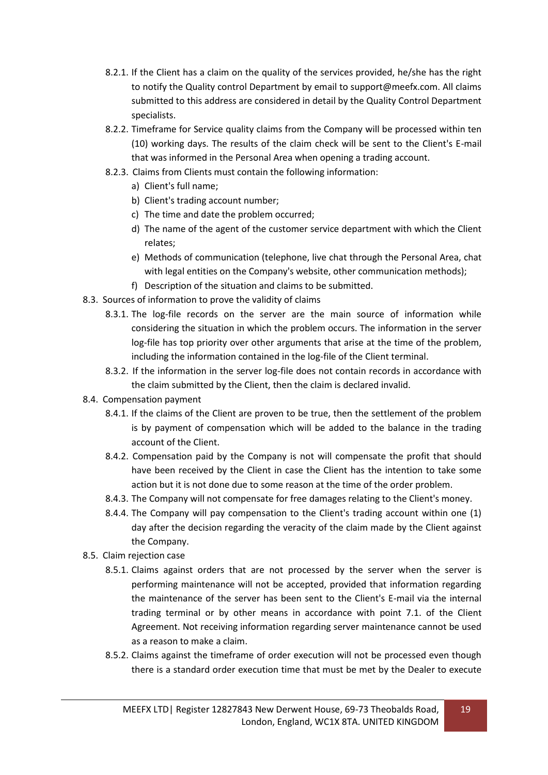- 8.2.1. If the Client has a claim on the quality of the services provided, he/she has the right to notify the Quality control Department by email to support@meefx.com. All claims submitted to this address are considered in detail by the Quality Control Department specialists.
- 8.2.2. Timeframe for Service quality claims from the Company will be processed within ten (10) working days. The results of the claim check will be sent to the Client's E-mail that was informed in the Personal Area when opening a trading account.
- 8.2.3. Claims from Clients must contain the following information:
	- a) Client's full name;
	- b) Client's trading account number;
	- c) The time and date the problem occurred;
	- d) The name of the agent of the customer service department with which the Client relates;
	- e) Methods of communication (telephone, live chat through the Personal Area, chat with legal entities on the Company's website, other communication methods);
	- f) Description of the situation and claims to be submitted.
- 8.3. Sources of information to prove the validity of claims
	- 8.3.1. The log-file records on the server are the main source of information while considering the situation in which the problem occurs. The information in the server log-file has top priority over other arguments that arise at the time of the problem, including the information contained in the log-file of the Client terminal.
	- 8.3.2. If the information in the server log-file does not contain records in accordance with the claim submitted by the Client, then the claim is declared invalid.
- 8.4. Compensation payment
	- 8.4.1. If the claims of the Client are proven to be true, then the settlement of the problem is by payment of compensation which will be added to the balance in the trading account of the Client.
	- 8.4.2. Compensation paid by the Company is not will compensate the profit that should have been received by the Client in case the Client has the intention to take some action but it is not done due to some reason at the time of the order problem.
	- 8.4.3. The Company will not compensate for free damages relating to the Client's money.
	- 8.4.4. The Company will pay compensation to the Client's trading account within one (1) day after the decision regarding the veracity of the claim made by the Client against the Company.
- 8.5. Claim rejection case
	- 8.5.1. Claims against orders that are not processed by the server when the server is performing maintenance will not be accepted, provided that information regarding the maintenance of the server has been sent to the Client's E-mail via the internal trading terminal or by other means in accordance with point 7.1. of the Client Agreement. Not receiving information regarding server maintenance cannot be used as a reason to make a claim.
	- 8.5.2. Claims against the timeframe of order execution will not be processed even though there is a standard order execution time that must be met by the Dealer to execute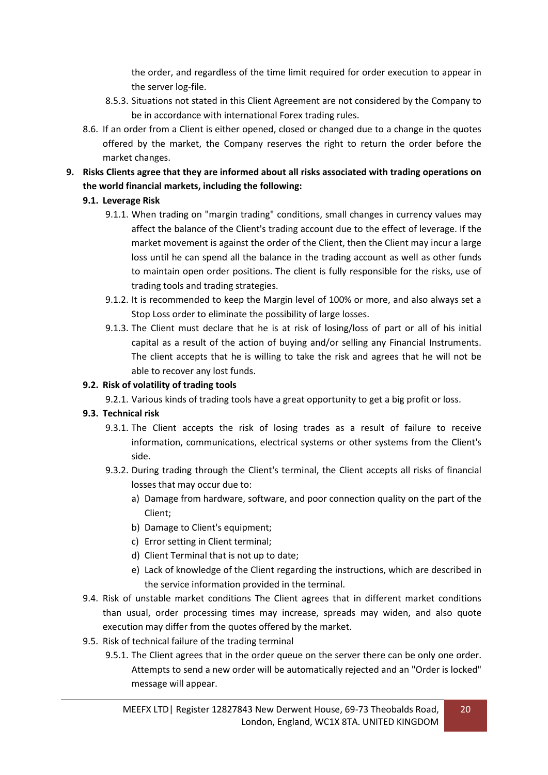the order, and regardless of the time limit required for order execution to appear in the server log-file.

- 8.5.3. Situations not stated in this Client Agreement are not considered by the Company to be in accordance with international Forex trading rules.
- 8.6. If an order from a Client is either opened, closed or changed due to a change in the quotes offered by the market, the Company reserves the right to return the order before the market changes.
- **9. Risks Clients agree that they are informed about all risks associated with trading operations on the world financial markets, including the following:**

## **9.1. Leverage Risk**

- 9.1.1. When trading on "margin trading" conditions, small changes in currency values may affect the balance of the Client's trading account due to the effect of leverage. If the market movement is against the order of the Client, then the Client may incur a large loss until he can spend all the balance in the trading account as well as other funds to maintain open order positions. The client is fully responsible for the risks, use of trading tools and trading strategies.
- 9.1.2. It is recommended to keep the Margin level of 100% or more, and also always set a Stop Loss order to eliminate the possibility of large losses.
- 9.1.3. The Client must declare that he is at risk of losing/loss of part or all of his initial capital as a result of the action of buying and/or selling any Financial Instruments. The client accepts that he is willing to take the risk and agrees that he will not be able to recover any lost funds.

## **9.2. Risk of volatility of trading tools**

9.2.1. Various kinds of trading tools have a great opportunity to get a big profit or loss.

## **9.3. Technical risk**

- 9.3.1. The Client accepts the risk of losing trades as a result of failure to receive information, communications, electrical systems or other systems from the Client's side.
- 9.3.2. During trading through the Client's terminal, the Client accepts all risks of financial losses that may occur due to:
	- a) Damage from hardware, software, and poor connection quality on the part of the Client;
	- b) Damage to Client's equipment;
	- c) Error setting in Client terminal;
	- d) Client Terminal that is not up to date;
	- e) Lack of knowledge of the Client regarding the instructions, which are described in the service information provided in the terminal.
- 9.4. Risk of unstable market conditions The Client agrees that in different market conditions than usual, order processing times may increase, spreads may widen, and also quote execution may differ from the quotes offered by the market.
- 9.5. Risk of technical failure of the trading terminal
	- 9.5.1. The Client agrees that in the order queue on the server there can be only one order. Attempts to send a new order will be automatically rejected and an "Order is locked" message will appear.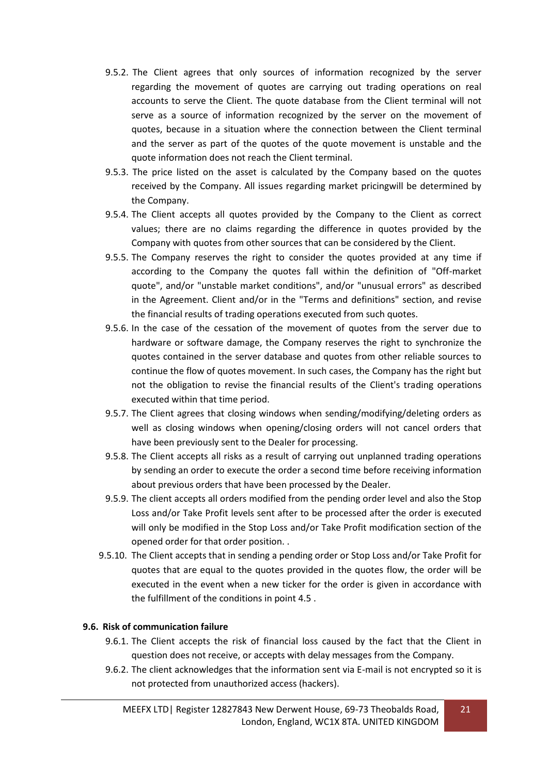- 9.5.2. The Client agrees that only sources of information recognized by the server regarding the movement of quotes are carrying out trading operations on real accounts to serve the Client. The quote database from the Client terminal will not serve as a source of information recognized by the server on the movement of quotes, because in a situation where the connection between the Client terminal and the server as part of the quotes of the quote movement is unstable and the quote information does not reach the Client terminal.
- 9.5.3. The price listed on the asset is calculated by the Company based on the quotes received by the Company. All issues regarding market pricingwill be determined by the Company.
- 9.5.4. The Client accepts all quotes provided by the Company to the Client as correct values; there are no claims regarding the difference in quotes provided by the Company with quotes from other sources that can be considered by the Client.
- 9.5.5. The Company reserves the right to consider the quotes provided at any time if according to the Company the quotes fall within the definition of "Off-market quote", and/or "unstable market conditions", and/or "unusual errors" as described in the Agreement. Client and/or in the "Terms and definitions" section, and revise the financial results of trading operations executed from such quotes.
- 9.5.6. In the case of the cessation of the movement of quotes from the server due to hardware or software damage, the Company reserves the right to synchronize the quotes contained in the server database and quotes from other reliable sources to continue the flow of quotes movement. In such cases, the Company has the right but not the obligation to revise the financial results of the Client's trading operations executed within that time period.
- 9.5.7. The Client agrees that closing windows when sending/modifying/deleting orders as well as closing windows when opening/closing orders will not cancel orders that have been previously sent to the Dealer for processing.
- 9.5.8. The Client accepts all risks as a result of carrying out unplanned trading operations by sending an order to execute the order a second time before receiving information about previous orders that have been processed by the Dealer.
- 9.5.9. The client accepts all orders modified from the pending order level and also the Stop Loss and/or Take Profit levels sent after to be processed after the order is executed will only be modified in the Stop Loss and/or Take Profit modification section of the opened order for that order position. .
- 9.5.10. The Client accepts that in sending a pending order or Stop Loss and/or Take Profit for quotes that are equal to the quotes provided in the quotes flow, the order will be executed in the event when a new ticker for the order is given in accordance with the fulfillment of the conditions in point 4.5 .

#### **9.6. Risk of communication failure**

- 9.6.1. The Client accepts the risk of financial loss caused by the fact that the Client in question does not receive, or accepts with delay messages from the Company.
- 9.6.2. The client acknowledges that the information sent via E-mail is not encrypted so it is not protected from unauthorized access (hackers).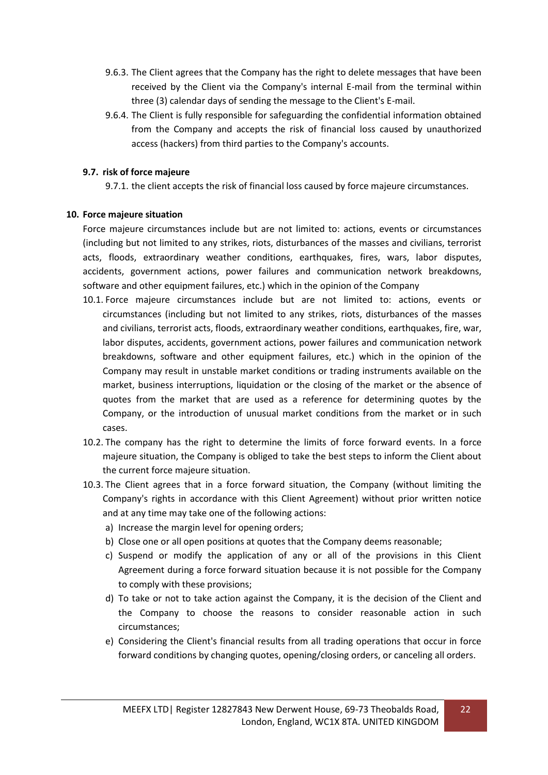- 9.6.3. The Client agrees that the Company has the right to delete messages that have been received by the Client via the Company's internal E-mail from the terminal within three (3) calendar days of sending the message to the Client's E-mail.
- 9.6.4. The Client is fully responsible for safeguarding the confidential information obtained from the Company and accepts the risk of financial loss caused by unauthorized access (hackers) from third parties to the Company's accounts.

#### **9.7. risk of force majeure**

9.7.1. the client accepts the risk of financial loss caused by force majeure circumstances.

#### **10. Force majeure situation**

Force majeure circumstances include but are not limited to: actions, events or circumstances (including but not limited to any strikes, riots, disturbances of the masses and civilians, terrorist acts, floods, extraordinary weather conditions, earthquakes, fires, wars, labor disputes, accidents, government actions, power failures and communication network breakdowns, software and other equipment failures, etc.) which in the opinion of the Company

- 10.1. Force majeure circumstances include but are not limited to: actions, events or circumstances (including but not limited to any strikes, riots, disturbances of the masses and civilians, terrorist acts, floods, extraordinary weather conditions, earthquakes, fire, war, labor disputes, accidents, government actions, power failures and communication network breakdowns, software and other equipment failures, etc.) which in the opinion of the Company may result in unstable market conditions or trading instruments available on the market, business interruptions, liquidation or the closing of the market or the absence of quotes from the market that are used as a reference for determining quotes by the Company, or the introduction of unusual market conditions from the market or in such cases.
- 10.2. The company has the right to determine the limits of force forward events. In a force majeure situation, the Company is obliged to take the best steps to inform the Client about the current force majeure situation.
- 10.3. The Client agrees that in a force forward situation, the Company (without limiting the Company's rights in accordance with this Client Agreement) without prior written notice and at any time may take one of the following actions:
	- a) Increase the margin level for opening orders;
	- b) Close one or all open positions at quotes that the Company deems reasonable;
	- c) Suspend or modify the application of any or all of the provisions in this Client Agreement during a force forward situation because it is not possible for the Company to comply with these provisions;
	- d) To take or not to take action against the Company, it is the decision of the Client and the Company to choose the reasons to consider reasonable action in such circumstances;
	- e) Considering the Client's financial results from all trading operations that occur in force forward conditions by changing quotes, opening/closing orders, or canceling all orders.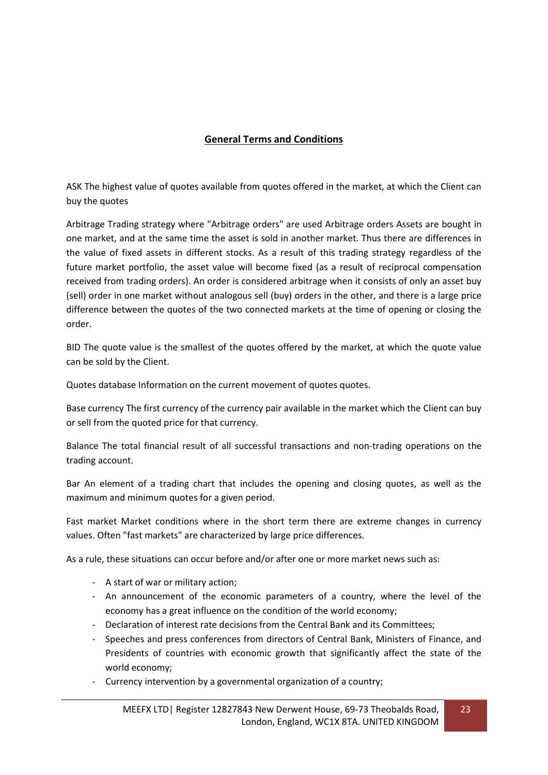## **General Terms and Conditions**

ASK The highest value of quotes available from quotes offered in the market, at which the Client can buy the quotes

Arbitrage Trading strategy where "Arbitrage orders" are used Arbitrage orders Assets are bought in one market, and at the same time the asset is sold in another market. Thus there are differences in the value of fixed assets in different stocks. As a result of this trading strategy regardless of the future market portfolio, the asset value will become fixed (as a result of reciprocal compensation received from trading orders). An order is considered arbitrage when it consists of only an asset buy (sell) order in one market without analogous sell (buy) orders in the other, and there is a large price difference between the quotes of the two connected markets at the time of opening or closing the order.

BID The quote value is the smallest of the quotes offered by the market, at which the quote value can be sold by the Client.

Quotes database Information on the current movement of quotes quotes.

Base currency The first currency of the currency pair available in the market which the Client can buy or sell from the quoted price for that currency.

Balance The total financial result of all successful transactions and non-trading operations on the trading account.

Bar An element of a trading chart that includes the opening and closing quotes, as well as the maximum and minimum quotes for a given period.

Fast market Market conditions where in the short term there are extreme changes in currency values. Often "fast markets" are characterized by large price differences.

As a rule, these situations can occur before and/or after one or more market news such as:

- A start of war or military action;
- An announcement of the economic parameters of a country, where the level of the economy has a great influence on the condition of the world economy;
- Declaration of interest rate decisions from the Central Bank and its Committees;
- Speeches and press conferences from directors of Central Bank, Ministers of Finance, and Presidents of countries with economic growth that significantly affect the state of the world economy;
- Currency intervention by a governmental organization of a country;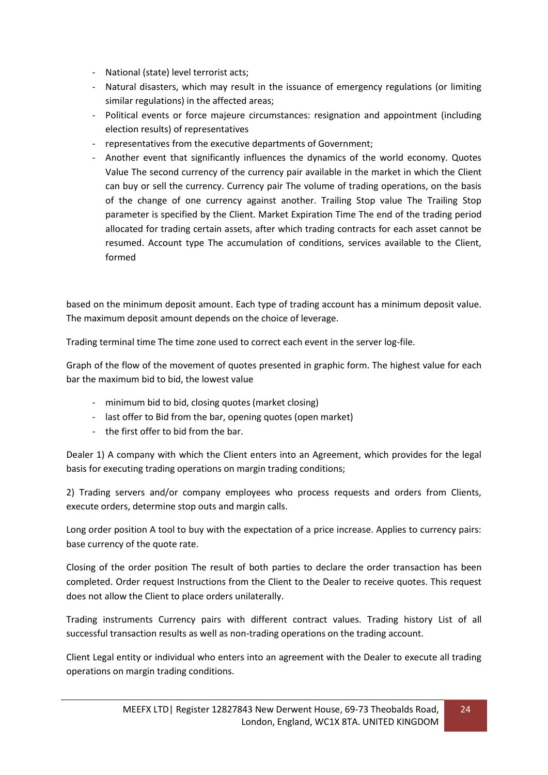- National (state) level terrorist acts;
- Natural disasters, which may result in the issuance of emergency regulations (or limiting similar regulations) in the affected areas;
- Political events or force majeure circumstances: resignation and appointment (including election results) of representatives
- representatives from the executive departments of Government;
- Another event that significantly influences the dynamics of the world economy. Quotes Value The second currency of the currency pair available in the market in which the Client can buy or sell the currency. Currency pair The volume of trading operations, on the basis of the change of one currency against another. Trailing Stop value The Trailing Stop parameter is specified by the Client. Market Expiration Time The end of the trading period allocated for trading certain assets, after which trading contracts for each asset cannot be resumed. Account type The accumulation of conditions, services available to the Client, formed

based on the minimum deposit amount. Each type of trading account has a minimum deposit value. The maximum deposit amount depends on the choice of leverage.

Trading terminal time The time zone used to correct each event in the server log-file.

Graph of the flow of the movement of quotes presented in graphic form. The highest value for each bar the maximum bid to bid, the lowest value

- minimum bid to bid, closing quotes (market closing)
- last offer to Bid from the bar, opening quotes (open market)
- the first offer to bid from the bar.

Dealer 1) A company with which the Client enters into an Agreement, which provides for the legal basis for executing trading operations on margin trading conditions;

2) Trading servers and/or company employees who process requests and orders from Clients, execute orders, determine stop outs and margin calls.

Long order position A tool to buy with the expectation of a price increase. Applies to currency pairs: base currency of the quote rate.

Closing of the order position The result of both parties to declare the order transaction has been completed. Order request Instructions from the Client to the Dealer to receive quotes. This request does not allow the Client to place orders unilaterally.

Trading instruments Currency pairs with different contract values. Trading history List of all successful transaction results as well as non-trading operations on the trading account.

Client Legal entity or individual who enters into an agreement with the Dealer to execute all trading operations on margin trading conditions.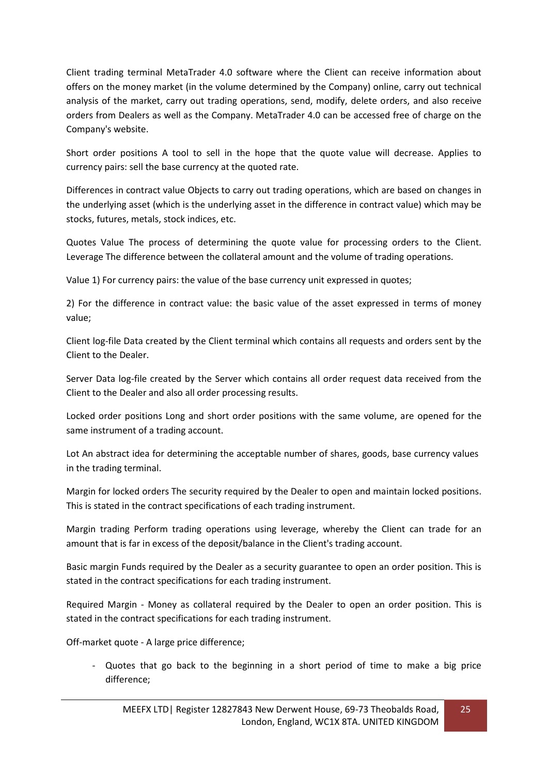Client trading terminal MetaTrader 4.0 software where the Client can receive information about offers on the money market (in the volume determined by the Company) online, carry out technical analysis of the market, carry out trading operations, send, modify, delete orders, and also receive orders from Dealers as well as the Company. MetaTrader 4.0 can be accessed free of charge on the Company's website.

Short order positions A tool to sell in the hope that the quote value will decrease. Applies to currency pairs: sell the base currency at the quoted rate.

Differences in contract value Objects to carry out trading operations, which are based on changes in the underlying asset (which is the underlying asset in the difference in contract value) which may be stocks, futures, metals, stock indices, etc.

Quotes Value The process of determining the quote value for processing orders to the Client. Leverage The difference between the collateral amount and the volume of trading operations.

Value 1) For currency pairs: the value of the base currency unit expressed in quotes;

2) For the difference in contract value: the basic value of the asset expressed in terms of money value;

Client log-file Data created by the Client terminal which contains all requests and orders sent by the Client to the Dealer.

Server Data log-file created by the Server which contains all order request data received from the Client to the Dealer and also all order processing results.

Locked order positions Long and short order positions with the same volume, are opened for the same instrument of a trading account.

Lot An abstract idea for determining the acceptable number of shares, goods, base currency values in the trading terminal.

Margin for locked orders The security required by the Dealer to open and maintain locked positions. This is stated in the contract specifications of each trading instrument.

Margin trading Perform trading operations using leverage, whereby the Client can trade for an amount that is far in excess of the deposit/balance in the Client's trading account.

Basic margin Funds required by the Dealer as a security guarantee to open an order position. This is stated in the contract specifications for each trading instrument.

Required Margin - Money as collateral required by the Dealer to open an order position. This is stated in the contract specifications for each trading instrument.

Off-market quote - A large price difference;

- Quotes that go back to the beginning in a short period of time to make a big price difference;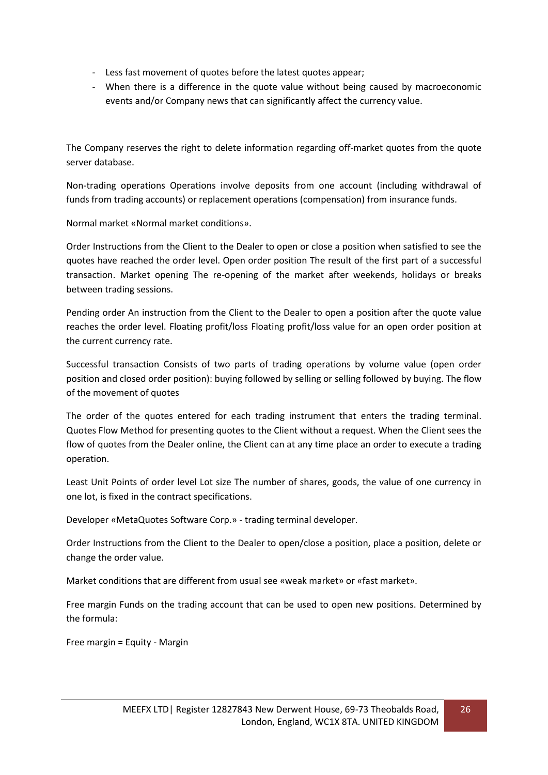- Less fast movement of quotes before the latest quotes appear;
- When there is a difference in the quote value without being caused by macroeconomic events and/or Company news that can significantly affect the currency value.

The Company reserves the right to delete information regarding off-market quotes from the quote server database.

Non-trading operations Operations involve deposits from one account (including withdrawal of funds from trading accounts) or replacement operations (compensation) from insurance funds.

Normal market «Normal market conditions».

Order Instructions from the Client to the Dealer to open or close a position when satisfied to see the quotes have reached the order level. Open order position The result of the first part of a successful transaction. Market opening The re-opening of the market after weekends, holidays or breaks between trading sessions.

Pending order An instruction from the Client to the Dealer to open a position after the quote value reaches the order level. Floating profit/loss Floating profit/loss value for an open order position at the current currency rate.

Successful transaction Consists of two parts of trading operations by volume value (open order position and closed order position): buying followed by selling or selling followed by buying. The flow of the movement of quotes

The order of the quotes entered for each trading instrument that enters the trading terminal. Quotes Flow Method for presenting quotes to the Client without a request. When the Client sees the flow of quotes from the Dealer online, the Client can at any time place an order to execute a trading operation.

Least Unit Points of order level Lot size The number of shares, goods, the value of one currency in one lot, is fixed in the contract specifications.

Developer «MetaQuotes Software Corp.» - trading terminal developer.

Order Instructions from the Client to the Dealer to open/close a position, place a position, delete or change the order value.

Market conditions that are different from usual see «weak market» or «fast market».

Free margin Funds on the trading account that can be used to open new positions. Determined by the formula:

Free margin = Equity - Margin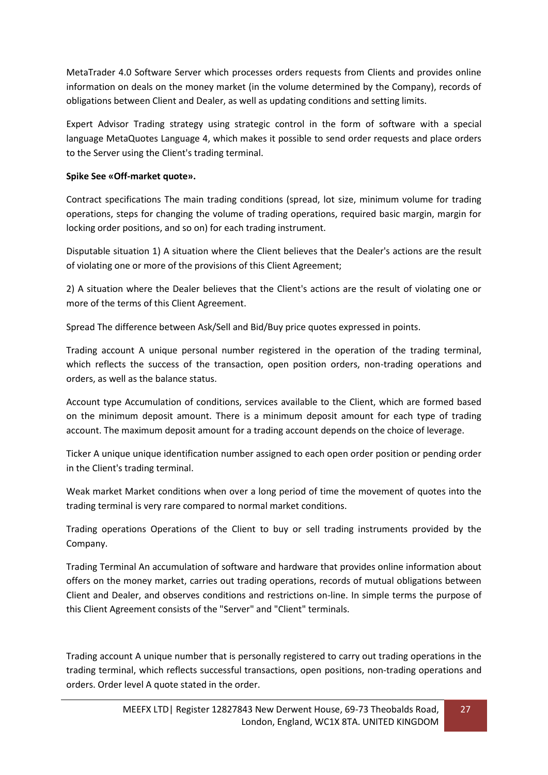MetaTrader 4.0 Software Server which processes orders requests from Clients and provides online information on deals on the money market (in the volume determined by the Company), records of obligations between Client and Dealer, as well as updating conditions and setting limits.

Expert Advisor Trading strategy using strategic control in the form of software with a special language MetaQuotes Language 4, which makes it possible to send order requests and place orders to the Server using the Client's trading terminal.

### **Spike See «Off-market quote».**

Contract specifications The main trading conditions (spread, lot size, minimum volume for trading operations, steps for changing the volume of trading operations, required basic margin, margin for locking order positions, and so on) for each trading instrument.

Disputable situation 1) A situation where the Client believes that the Dealer's actions are the result of violating one or more of the provisions of this Client Agreement;

2) A situation where the Dealer believes that the Client's actions are the result of violating one or more of the terms of this Client Agreement.

Spread The difference between Ask/Sell and Bid/Buy price quotes expressed in points.

Trading account A unique personal number registered in the operation of the trading terminal, which reflects the success of the transaction, open position orders, non-trading operations and orders, as well as the balance status.

Account type Accumulation of conditions, services available to the Client, which are formed based on the minimum deposit amount. There is a minimum deposit amount for each type of trading account. The maximum deposit amount for a trading account depends on the choice of leverage.

Ticker A unique unique identification number assigned to each open order position or pending order in the Client's trading terminal.

Weak market Market conditions when over a long period of time the movement of quotes into the trading terminal is very rare compared to normal market conditions.

Trading operations Operations of the Client to buy or sell trading instruments provided by the Company.

Trading Terminal An accumulation of software and hardware that provides online information about offers on the money market, carries out trading operations, records of mutual obligations between Client and Dealer, and observes conditions and restrictions on-line. In simple terms the purpose of this Client Agreement consists of the "Server" and "Client" terminals.

Trading account A unique number that is personally registered to carry out trading operations in the trading terminal, which reflects successful transactions, open positions, non-trading operations and orders. Order level A quote stated in the order.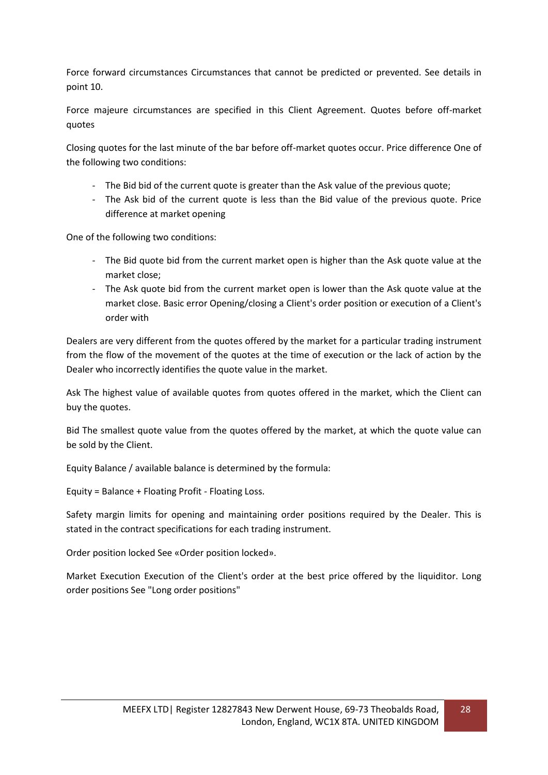Force forward circumstances Circumstances that cannot be predicted or prevented. See details in point 10.

Force majeure circumstances are specified in this Client Agreement. Quotes before off-market quotes

Closing quotes for the last minute of the bar before off-market quotes occur. Price difference One of the following two conditions:

- The Bid bid of the current quote is greater than the Ask value of the previous quote;
- The Ask bid of the current quote is less than the Bid value of the previous quote. Price difference at market opening

One of the following two conditions:

- The Bid quote bid from the current market open is higher than the Ask quote value at the market close;
- The Ask quote bid from the current market open is lower than the Ask quote value at the market close. Basic error Opening/closing a Client's order position or execution of a Client's order with

Dealers are very different from the quotes offered by the market for a particular trading instrument from the flow of the movement of the quotes at the time of execution or the lack of action by the Dealer who incorrectly identifies the quote value in the market.

Ask The highest value of available quotes from quotes offered in the market, which the Client can buy the quotes.

Bid The smallest quote value from the quotes offered by the market, at which the quote value can be sold by the Client.

Equity Balance / available balance is determined by the formula:

Equity = Balance + Floating Profit - Floating Loss.

Safety margin limits for opening and maintaining order positions required by the Dealer. This is stated in the contract specifications for each trading instrument.

Order position locked See «Order position locked».

Market Execution Execution of the Client's order at the best price offered by the liquiditor. Long order positions See "Long order positions"